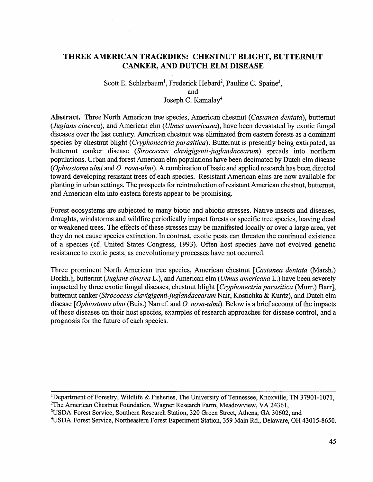# **THREE AMERICAN TRAGEDIES: CHESTNUT BLIGHT, BUTTERNUT CANKER, AND DUTCH ELM DISEASE**

Scott E. Schlarbaum<sup>1</sup>, Frederick Hebard<sup>2</sup>, Pauline C. Spaine<sup>3</sup>, and Joseph C. Kamalay<sup>4</sup>

**Abstract.** Three North American tree species, American chestnut *(Castanea dentata* ), butternut *(Juglans cinerea),* and American elm *(Ulmus americana),* have been devastated by exotic fungal diseases over the last century. American chestnut was eliminated from eastern forests as a dominant species by chestnut blight *(Cryphonectria parasitica).* Butternut is presently being extirpated, as butternut canker disease *(Sirococcus clavigigenti-juglandacearum)* spreads into northern populations. Urban and forest American elm populations have been decimated by Dutch elm disease ( *Ophiostoma ulmi* and *0. nova-ulmi).* A combination of basic and applied research has been directed toward developing resistant trees of each species. Resistant American elms are now available for planting in urban settings. The prospects for reintroduction of resistant American chestnut, butternut, and American elm into eastern forests appear to be promising.

Forest ecosystems are subjected to many biotic and abiotic stresses. Native insects and diseases, droughts, windstorms and wildfire periodically impact forests or specific tree species, leaving dead or weakened trees. The effects of these stresses may be manifested locally or over a large area, yet they do not cause species extinction. In contrast, exotic pests can threaten the continued existence of a species (cf. United States Congress, 1993). Often host species have not evolved genetic resistance to exotic pests, as coevolutionary processes have not occurred.

Three prominent North American tree species, American chestnut *[Castanea dentata* (Marsh.) Borkh.], butternut *(Juglans cinereaL.),* and American elm *(Ulmus americana* L.) have been severely impacted by three exotic fungal diseases, chestnut blight *[Cryphonectria parasitica* (Murr.) Barr], butternut canker *(Sirococcus clavigigenti-juglandacearum* Nair, Kostichka & Kuntz), and Dutch elm disease *[Ophiostoma ulmi* (Buis.) Narruf. and *0. nova-ulmi).* Below is a brief account of the impacts of these diseases on their host species, examples of research approaches for disease control, and a prognosis for the future of each species.

<sup>1</sup>Department of Forestry, Wildlife & Fisheries, The University of Tennessee, Knoxville, TN 37901-1071, <sup>2</sup>The American Chestnut Foundation, Wagner Research Farm, Meadowview, VA 24361,

<sup>3</sup>USDA Forest Service, Southern Research Station, 320 Green Street, Athens, GA 30602, and

4 USDA Forest Service, Northeastern Forest Experiment Station, 359 Main Rd., Delaware, OH 43015-8650.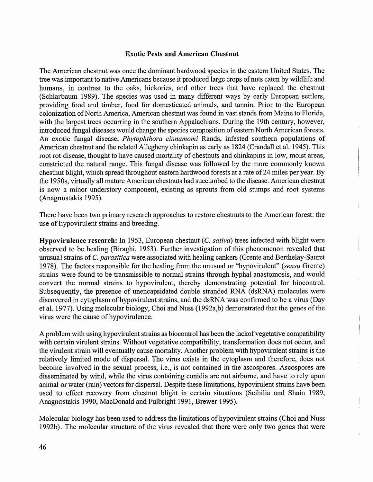# **Exotic Pests and American Chestnut**

The American chestnut was once the dominant hardwood species in the eastern United States. The tree was important to native Americans because it produced large crops of nuts eaten by wildlife and humans, in contrast to the oaks, hickories, and other trees that have replaced the chestnut (Schlarbaum 1989). The species was used in many different ways by early European settlers, providing food and timber, food for domesticated animals, and tannin. Prior to the European colonization of North America, American chestnut was found in vast stands from Maine to Florida, with the largest trees occurring in the southern Appalachians. During the 19th century, however, introduced fungal diseases would change the species composition of eastern North American forests. An exotic fungal disease, *Phytophthora cinnamomi* Rands, infested southern populations of American chestnut and the related Allegheny chinkapin as early as 1824 (Crandall et al. 1945). This root rot disease, thought to have caused mortality of chestnuts and chinkapins in low, moist areas, constricted the natural range. This fungal disease was followed by the more commonly known chestnut blight, which spread throughout eastern hardwood forests at a rate of24 miles per year. By the 1950s, virtually all mature American chestnuts had succumbed to the disease. American chestnut is now a minor understory component, existing as sprouts from old stumps and root systems (Anagnostakis 1995).

There have been two primary research approaches to restore chestnuts to the American forest: the use of hypovirulent strains and breeding.

**Hypovirulence research:** In 1953, European chestnut (C. *sativa)* trees infected with blight were observed to be healing (Biraghi, 1953). Further investigation of this phenomenon revealed that unusual strains of *C. parasitica* were associated with healing cankers (Grente and Berthelay-Sauret 1978). The factors responsible for the healing from the unusual or "hypovirulent" *(sensu* Grente) strains were found to be transmissible to normal strains through hyphal anastomosis, and would convert the normal strains to hypovirulent, thereby demonstrating potential for biocontrol. Subsequently, the presence of unencapsidated double stranded RNA (dsRNA) molecules were discovered in cytoplasm of hypovirulent strains, and the dsRNA was confirmed to be a virus (Day et al. 1977). Using molecular biology, Choi and Nuss (1992a,b) demonstrated that the genes of the virus were the cause of hypovirulence.

A problem with using hypovirulent strains as biocontrol has been the lackof vegetative compatibility with certain virulent strains. Without vegetative compatibility, transformation does not occur, and the virulent strain will eventually cause mortality. Another problem with hypovirulent strains is the relatively limited mode of dispersal. The virus exists in the cytoplasm and therefore, does not become involved in the sexual process, i.e., is not contained in the ascospores. Ascospores are disseminated by wind, while the virus containing conidia are not airborne, and have to rely upon animal or water (rain) vectors for dispersal. Despite these limitations, hypovirulent strains have been used to effect recovery from chestnut blight in certain situations (Scibilia and Shain 1989, Anagnostakis 1990, MacDonald and Fulbright 1991, Brewer 1995).

Molecular biology has been used to address the limitations of hypovirulent strains (Choi and Nuss 1992b). The molecular structure of the virus revealed that there were only two genes that were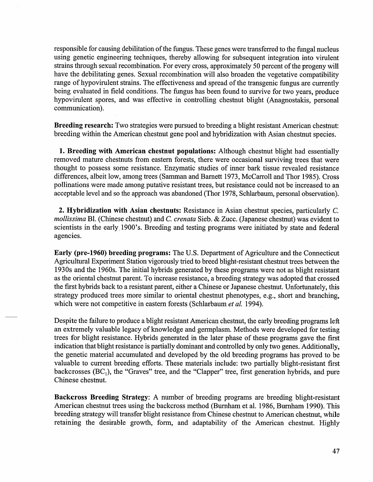responsible for causing debilitation of the fungus. These genes were transferred to the fungal nucleus using genetic engineering techniques, thereby allowing for subsequent integration into virulent strains through sexual recombination. For every cross, approximately 50 percent of the progeny will have the debilitating genes. Sexual recombination will also broaden the vegetative compatibility range of hypovirulent strains. The effectiveness and spread of the transgenic fungus are currently being evaluated in field conditions. The fungus has been found to survive for two years, produce hypovirulent spores, and was effective in controlling chestnut blight (Anagnostakis, personal communication).

Breeding research: Two strategies were pursued to breeding a blight resistant American chestnut: breeding within the American chestnut gene pool and hybridization with Asian chestnut species.

1. Breeding with American chestnut populations: Although chestnut blight had essentially removed mature chestnuts from eastern forests, there were occasional surviving trees that were thought to possess some resistance. Enzymatic studies of inner bark tissue revealed resistance differences, albeit low, among trees (Samman and Barnett 1973, McCarroll and Thor 1985). Cross pollinations were made among putative resistant trees, but resistance could not be increased to an acceptable level and so the approach was abandoned (Thor 1978, Schlarbaum, personal observation).

2. Hybridization with Asian chestnuts: Resistance in Asian chestnut species, particularly C. *mollissima* Bl. (Chinese chestnut) and C. *crenata* Sieb. & Zucc. (Japanese chestnut) was evident to scientists in the early, 1900's. Breeding and testing programs were initiated by state and federal agencies.

Early (pre-1960) breeding programs: The U.S. Department of Agriculture and the Connecticut Agricultural Experiment Station vigorously tried to breed blight-resistant chestnut trees between the 1930s and the 1960s. The initial hybrids generated by these programs were not as blight resistant as the oriental chestnut parent. To increase resistance, a breeding strategy was adopted that crossed the first hybrids back to a resistant parent, either a Chinese or Japanese chestnut. Unfortunately, this strategy produced trees more similar to oriental chestnut phenotypes, e.g., short and branching, which were not competitive in eastern forests (Schlarbaum *et al.* 1994).

Despite the failure to produce a blight resistant American chestnut, the early breeding programs left an extremely valuable legacy of knowledge and germplasm. Methods were developed for testing trees for blight resistance. Hybrids generated in the later phase of these programs gave the first indication that blight resistance is partially dominant and controlled by only two genes. Additionally, the genetic material accumulated and developed by the old breeding programs has proved to be valuable to current breeding efforts. These materials include: two partially blight-resistant first backcrosses  $(BC_1)$ , the "Graves" tree, and the "Clapper" tree, first generation hybrids, and pure Chinese chestnut.

Backcross Breeding Strategy: A number of breeding programs are breeding blight-resistant American chestnut trees using the backcross method (Burnham et al. 1986, Burnham 1990). This breeding strategy will transfer blight resistance from Chinese chestnut to American chestnut, while retaining the desirable growth, form, and adaptability of the American chestnut. Highly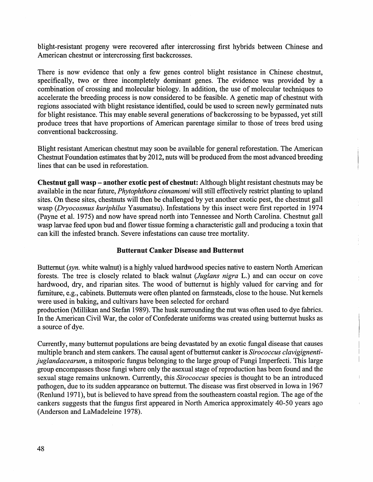blight-resistant progeny were recovered after intercrossing first hybrids between Chinese and American chestnut or intercrossing first backcrosses.

There is now evidence that only a few genes control blight resistance in Chinese chestnut, specifically, two or three incompletely dominant genes. The evidence was provided by a combination of crossing and molecular biology. In addition, the use of molecular techniques to accelerate the breeding process is now considered to be feasible. A genetic map of chestnut with regions associated with blight resistance identified, could be used to screen newly germinated nuts for blight resistance. This may enable several generations of backcrossing to be bypassed, yet still produce trees that have proportions of American parentage similar to those of trees bred using conventional backcrossing.

Blight resistant American chestnut may soon be available for general reforestation. The American Chestnut Foundation estimates that by 2012, nuts will be produced from the most advanced breeding lines that can be used in reforestation.

Chestnut gall wasp - another exotic pest of chestnut: Although blight resistant chestnuts may be available in the near future, *Phytophthora cinnamomi* will still effectively restrict planting to upland sites. On these sites, chestnuts will then be challenged by yet another exotic pest, the chestnut gall wasp *(Dryocosmus kuriphilus* Yasumatsu). Infestations by this insect were first reported in 1974 (Payne et al. 1975) and now have spread north into Tennessee and North Carolina. Chestnut gall wasp larvae feed upon bud and flower tissue forming a characteristic gall and producing a toxin that can kill the infested branch. Severe infestations can cause tree mortality.

#### Butternut Canker Disease and Butternut

Butternut *(syn.* white walnut) is a highly valued hardwood species native to eastern North American forests. The tree is closely related to black walnut *(Juglans nigra* L.) and can occur on cove hardwood, dry, and riparian sites. The wood of butternut is highly valued for carving and for furniture, e.g., cabinets. Butternuts were often planted on farmsteads, close to the house. Nut kernels were used in baking, and cultivars have been selected for orchard

production (Millikan and Stefan 1989). The husk surrounding the nut was often used to dye fabrics. In the American Civil War, the color of Confederate uniforms was created using butternut husks as a source of dye.

Currently, many butternut populations are being devastated by an exotic fungal disease that causes multiple branch and stem cankers. The causal agent of butternut canker is *Sirococcus clavigignentijuglandacearum,* a mitosporic fungus belonging to the large group of Fungi Imperfecti. This large group encompasses those fungi where only the asexual stage of reproduction has been found and the sexual stage remains unknown. Currently, this *Sirococcus* species is thought to be an introduced pathogen, due to its sudden appearance on butternut. The disease was first observed in Iowa in 1967 (Renlund 1971), but is believed to have spread from the southeastern coastal region. The age of the cankers suggests that the fungus first appeared in North America approximately 40-50 years ago (Anderson and LaMadeleine 1978).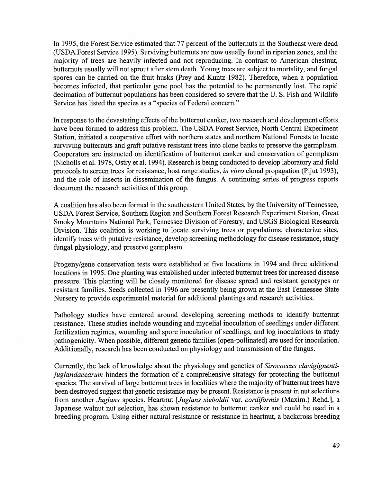In 1995, the Forest Service estimated that 77 percent of the butternuts in the Southeast were dead (USDA Forest Service 1995). Surviving butternuts are now usually found in riparian zones, and the majority of trees are heavily infected and not reproducing. In contrast to American chestnut, butternuts usually will not sprout after stem death. Young trees are subject to mortality, and fungal spores can be carried on the fruit husks (Prey and Kuntz 1982). Therefore, when a population becomes infected, that particular gene pool has the potential to be permanently lost. The rapid decimation of butternut populations has been considered so severe that the U.S. Fish and Wildlife Service has listed the species as a "species of Federal concern."

In response to the devastating effects of the butternut canker, two research and development efforts have been formed to address this problem. The USDA Forest Service, North Central Experiment Station, initiated a cooperative effort with northern states and northern National Forests to locate surviving butternuts and graft putative resistant trees into clone banks to preserve the germplasm. Cooperators are instructed on identification of butternut canker and conservation of germplasm (Nicholls et al. 1978, Ostry et al. 1994). Research is being conducted to develop laboratory and field protocols to screen trees for resistance, host range studies, *in vitro* clonal propagation (Pijut 1993), and the role of insects in dissemination of the fungus. A continuing series of progress reports document the research activities of this group.

A coalition has also been formed in the southeastern United States, by the University of Tennessee, USDA Forest Service, Southern Region and Southern Forest Research Experiment Station, Great Smoky Mountains National Park, Tennessee Division of Forestry, and USGS Biological Research Division. This coalition is working to locate surviving trees or populations, characterize sites, identify trees with putative resistance, develop screening methodology for disease resistance, study fungal physiology, and preserve germplasm.

Progeny/gene conservation tests were established at five locations in 1994 and three additional locations in 1995. One planting was established under infected butternut trees for increased disease pressure. This planting will be closely monitored for disease spread and resistant genotypes or resistant families. Seeds collected in 1996 are presently being grown at the East Tennessee State Nursery to provide experimental material for additional plantings and research activities.

Pathology studies have centered around developing screening methods to identify butternut resistance. These studies include wounding and mycelial inoculation of seedlings under different fertilization regimes, wounding and spore inoculation of seedlings, and log inoculations to study pathogenicity. When possible, different genetic families (open-pollinated) are used for inoculation. Additionally, research has been conducted on physiology and transmission of the fungus.

Currently, the lack of knowledge about the physiology and genetics of *Sirococcus clavigignentijuglandacearum* hinders the formation of a comprehensive strategy for protecting the butternut species. The survival of large butternut trees in localities where the majority of butternut trees have been destroyed suggest that genetic resistance may be present. Resistance is present in nut selections from another *Juglans* species. Heartnut *[Juglans sieboldii* var. *cordiformis* (Maxim.) Rehd.], a Japanese walnut nut selection, has shown resistance to butternut canker and could be used in a breeding program. Using either natural resistance or resistance in heartnut, a backcross breeding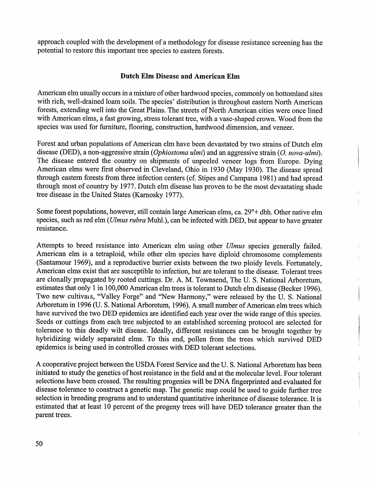approach coupled with the development of a methodology for disease resistance screening has the potential to restore this important tree species to eastern forests.

# Dutch Elm Disease and American Elm

American elm usually occurs in a mixture of other hardwood species, commonly on bottomland sites with rich, well-drained loam soils. The species' distribution is throughout eastern North American forests, extending well into the Great Plains. The streets of North American cities were once lined with American elms, a fast growing, stress tolerant tree, with a vase-shaped crown. Wood from the species was used for furniture, flooring, construction, hardwood dimension, and veneer.

Forest and urban populations of American elm have been devastated by two strains of Dutch elm disease (DED), a non-aggressive strain (*Ophiostoma ulmi*) and an aggressive strain (*O. nova-ulmi*). The disease entered the country on shipments of unpeeled veneer logs from Europe. Dying American elms were first observed in Cleveland, Ohio in 1930 (May 1930). The disease spread through eastern forests from three infection centers ( cf. Stipes and Campana 1981) and had spread through most of country by 1977. Dutch elm disease has proven to be the most devastating shade tree disease in the United States (Karnosky 1977).

Some forest populations, however, still contain large American elms, ca. 29"+ dbh. Other native elm species, such as red elm *(Ulmus rubra* Muhl.), can be infected with DED, but appear to have greater resistance.

Attempts to breed resistance into American elm using other *Ulmus* species generally failed. American elm is a tetraploid, while other elm species have diploid chromosome complements (Santamour 1969), and a reproductive barrier exists between the two ploidy levels. Fortunately, American elms exist that are susceptible to infection, but are tolerant to the disease. Tolerant trees are clonally propagated by rooted cuttings. Dr. A. M. Townsend, The U. S. National Arboretum, estimates that only 1 in 100,000 American elm trees is tolerant to Dutch elm disease (Becker 1996). Two new cultivars, "Valley Forge" and "New Harmony," were released by the U. S. National Arboretum in 1996 (U.S. National Arboretum, 1996). A small number of American elm trees which have survived the two DED epidemics are identified each year over the wide range of this species. Seeds or cuttings from each tree subjected to an established screening protocol are selected for tolerance to this deadly wilt disease. Ideally, different resistances can be brought together by hybridizing widely separated elms. To this end, pollen from the trees which survived DED epidemics is being used in controlled crosses with DED tolerant selections.

A cooperative project between the USDA Forest Service and the U. S. National Arboretum has been. initiated to study the genetics of host resistance in the field and at the molecular level. Four tolerant selections have been crossed. The resulting progenies will be DNA fingerprinted and evaluated for disease tolerance to construct a genetic map. The genetic map could be used to guide further tree selection in breeding programs and to understand quantitative inheritance of disease tolerance. It is estimated that at least 10 percent of the progeny trees will have DED tolerance greater than the parent trees.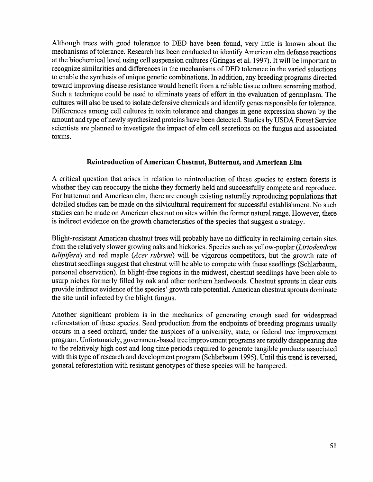Although trees with good tolerance to DED have been found, very little is known about the mechanisms of tolerance. Research has been conducted to identify American elm defense reactions at the biochemical level using cell suspension cultures (Gringas et al. 1997). It will be important to recognize similarities and differences in the mechanisms of DED tolerance in the varied selections to enable the synthesis of unique genetic combinations. In addition, any breeding programs directed toward improving disease resistance would benefit from a reliable tissue culture screening method. Such a technique could be used to eliminate years of effort in the evaluation of germplasm. The cultures will also be used to isolate defensive chemicals and identify genes responsible for tolerance. Differences among cell cultures in toxin tolerance and changes in gene expression shown by the amount and type of newly synthesized proteins have been detected. Studies by USDA Forest Service scientists are planned to investigate the impact of elm cell secretions on the fungus and associated toxins.

# **Reintroduction of American Chestnut, Butternut, and American Elm**

A critical question that arises in relation to reintroduction of these species to eastern forests is whether they can reoccupy the niche they formerly held and successfully compete and reproduce. For butternut and American elm, there are enough existing naturally reproducing populations that detailed studies can be made on the silvicultural requirement for successful establishment. No such studies can be made on American chestnut on sites within the former natural range. However, there is indirect evidence on the growth characteristics of the species that suggest a strategy.

Blight-resistant American chestnut trees will probably have no difficulty in reclaiming certain sites from the relatively slower growing oaks and hickories. Species such as yellow-poplar *(Liriodendron tulipifera*) and red maple (Acer rubrum) will be vigorous competitors, but the growth rate of chestnut seedlings suggest that chestnut will be able to compete with these seedlings (Schlarbaum, personal observation). In blight-free regions in the midwest, chestnut seedlings have been able to usurp niches formerly filled by oak and other northern hardwoods. Chestnut sprouts in clear cuts provide indirect evidence of the species' growth rate potential. American chestnut sprouts dominate the site until infected by the blight fungus.

Another significant problem is in the mechanics of generating enough seed for widespread reforestation of these species. Seed production from the endpoints of breeding programs usually occurs in a seed orchard, under the auspices of a university, state, or federal tree improvement program. Unfortunately, government-based tree improvement programs are rapidly disappearing due to the relatively high cost and long time periods required to generate tangible products associated with this type of research and development program (Schlarbaum 1995). Until this trend is reversed, general reforestation with resistant genotypes of these species will be hampered.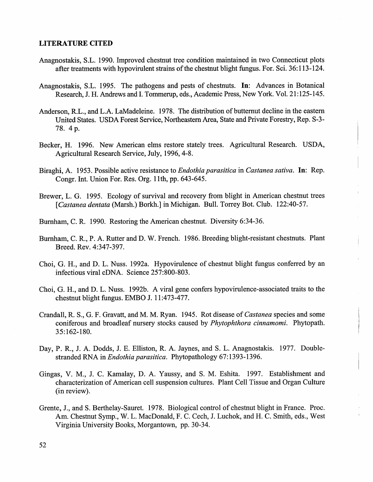# **LITERATURE CITED**

- Anagnostakis, S.L. 1990. Improved chestnut tree condition maintained in two Connecticut plots after treatments with hypovirulent strains of the chestnut blight fungus. For. Sci. 36:113-124.
- Anagnostakis, S.L. 1995. The pathogens and pests of chestnuts. In: Advances in Botanical Research, J. H. Andrews and I. Tommerup, eds., Academic Press, New York. Vol. 21:125-145.
- Anderson, R.L., and L.A. LaMadeleine. 1978. The distribution of butternut decline in the eastern United States. USDA Forest Service, Northeastern Area, State and Private Forestry, Rep. S-3- 78. 4p.
- Becker, H. 1996. New American elms restore stately trees. Agricultural Research. USDA, Agricultural Research Service, July, 1996, 4-8.
- Biraghi, A. 1953. Possible active resistance to *Endothia parasitica* in *Castanea sativa.* In: Rep. Congr. Int. Union For. Res. Org. 11th, pp. 643-645.
- Brewer, L. G. 1995. Ecology of survival and recovery from blight in American chestnut trees *[Castanea dentata* (Marsh.) Borkh.] in Michigan. Bull. Torrey Bot. Club. 122:40-57.
- Burnham, C. R. 1990. Restoring the American chestnut. Diversity 6:34-36.
- Burnham, C. R., P. A. Rutter and D. W. French. 1986. Breeding blight-resistant chestnuts. Plant Breed. Rev. 4:347-397.
- Choi, G. H., and D. L. Nuss. 1992a. Hypovirulence of chestnut blight fungus conferred by an infectious viral eDNA. Science 257:800-803.
- Choi, G. H., and D. L. Nuss. 1992b. A viral gene confers hypovirulence-associated traits to the chestnut blight fungus. EMBO J. 11:473-477.
- Crandall, R. S., G. F. Gravatt, and M. M. Ryan. 1945. Rot disease of *Castanea* species and some coniferous and broadleaf nursery stocks caused by *Phytophthora cinnamomi.* Phytopath. 35:162-180.
- Day, P. R., J. A. Dodds, J. E. Elliston, R. A. Jaynes, and S. L. Anagnostakis. 1977. Doublestranded RNA in *Endothia parasitica.* Phytopathology 67:1393-1396.
- Gingas, V. M., J. C. Kamalay, D. A. Yaussy, and S. M. Eshita. 1997. Establishment and characterization of American cell suspension cultures. Plant Cell Tissue and Organ Culture (in review).
- Grente, J., and S. Berthelay-Sauret. 1978. Biological control of chestnut blight in France. Proc. Am. Chestnut Symp., W. L. MacDonald, F. C. Cech, J. Luchok, and H. C. Smith, eds., West Virginia University Books, Morgantown, pp. 30-34.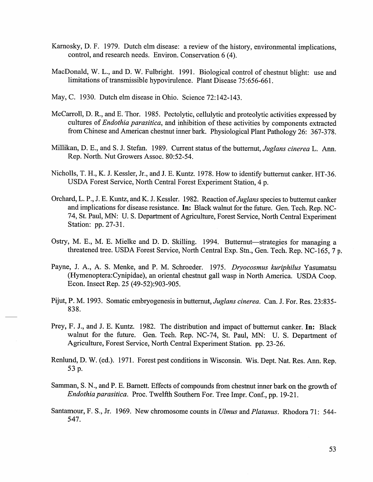- Karnosky, D. F. 1979. Dutch elm disease: a review of the history, environmental implications, control, and research needs. Environ. Conservation 6 (4).
- MacDonald, W. L., and D. W. Fulbright. 1991. Biological control of chestnut blight: use and limitations of transmissible hypovirulence. Plant Disease 75:656-661.
- May, C. 1930. Dutch elm disease in Ohio. Science 72:142-143.
- McCarroll, D. R., and E. Thor. 1985. Pectolytic, cellulytic and proteolytic activities expressed by cultures of *Endothia parasitica,* and inhibition of these activities by components extracted from Chinese and American chestnut inner bark. Physiological Plant Pathology 26: 367-378.
- Millikan, D. E., and S. J. Stefan. 1989. Current status of the butternut, *Juglans cinereaL.* Ann. Rep. North. Nut Growers Assoc. 80:52-54.
- Nicholls, T. H., K. J. Kessler, Jr., and J. E. Kuntz. 1978. How to identify butternut canker. HT-36. USDA Forest Service, North Central Forest Experiment Station, 4 p.
- Orchard, L. P., J. E. Kuntz, and K. J. Kessler. 1982. Reaction of *Juglans* species to butternut canker and implications for disease resistance. In: Black walnut for the future. Gen. Tech. Rep. NC-74, St. Paul, MN: U. S. Department of Agriculture, Forest Service, North Central Experiment Station: pp. 27-31.
- Ostry, M. E., M. E. Mielke and D. D. Skilling. 1994. Butternut-strategies for managing a threatened tree. USDA Forest Service, North Central Exp. Stn., Gen. Tech. Rep. NC-165, 7 p.
- Payne, J. A., A. S. Menke, and P. M. Schroeder. 1975. *Dryocosmus kuriphilus* Yasumatsu (Hymenoptera:Cynipidae), an oriental chestnut gall wasp in North America. USDA Coop. Econ. Insect Rep. 25 (49-52):903-905.
- Pijut, P.M. 1993. Somatic embryogenesis in butternut, *Juglans cinerea.* Can. J. For. Res. 23:835- 838.
- Prey, F. J., and J. E. Kuntz. 1982. The distribution and impact of butternut canker. In: Black walnut for the future. Gen. Tech. Rep. NC-74, St. Paul, MN: U. S. Department of Agriculture, Forest Service, North Central Experiment Station. pp. 23-26.
- Renlund, D. W. (ed.). 1971. Forest pest conditions in Wisconsin. Wis. Dept. Nat. Res. Ann. Rep. 53 p.
- Samman, S. N., and P. E. Barnett. Effects of compounds from chestnut inner bark on the growth of *Endothia parasitica.* Proc. Twelfth Southern For. Tree Impr. Conf., pp. 19-21.
- Santamour, F. S., Jr. 1969. New chromosome counts in *Ulmus* and *Platanus.* Rhodora 71: 544- 547.